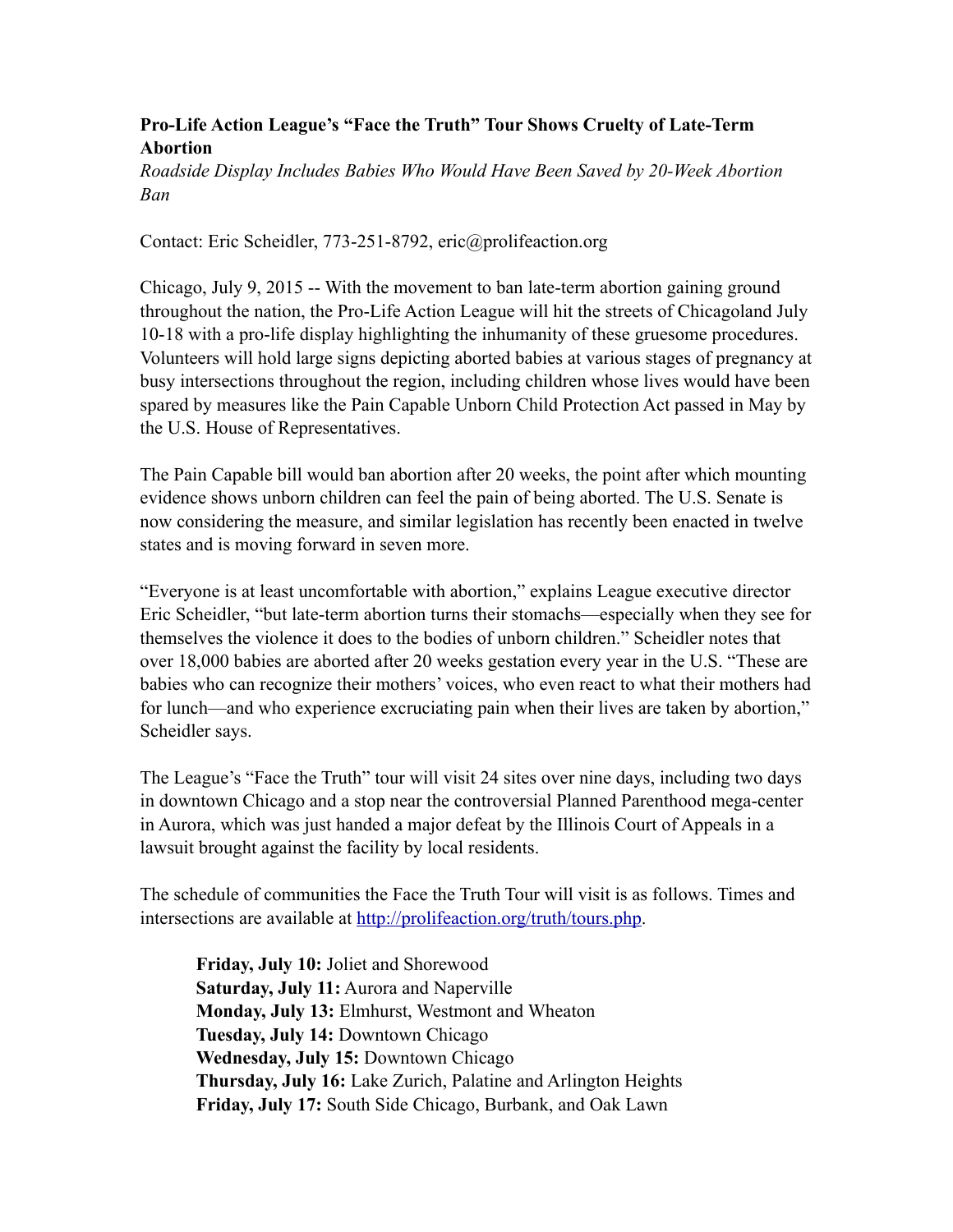## **Pro-Life Action League's "Face the Truth" Tour Shows Cruelty of Late-Term Abortion**

*Roadside Display Includes Babies Who Would Have Been Saved by 20-Week Abortion Ban* 

Contact: Eric Scheidler, 773-251-8792, eric@prolifeaction.org

Chicago, July 9, 2015 -- With the movement to ban late-term abortion gaining ground throughout the nation, the Pro-Life Action League will hit the streets of Chicagoland July 10-18 with a pro-life display highlighting the inhumanity of these gruesome procedures. Volunteers will hold large signs depicting aborted babies at various stages of pregnancy at busy intersections throughout the region, including children whose lives would have been spared by measures like the Pain Capable Unborn Child Protection Act passed in May by the U.S. House of Representatives.

The Pain Capable bill would ban abortion after 20 weeks, the point after which mounting evidence shows unborn children can feel the pain of being aborted. The U.S. Senate is now considering the measure, and similar legislation has recently been enacted in twelve states and is moving forward in seven more.

"Everyone is at least uncomfortable with abortion," explains League executive director Eric Scheidler, "but late-term abortion turns their stomachs—especially when they see for themselves the violence it does to the bodies of unborn children." Scheidler notes that over 18,000 babies are aborted after 20 weeks gestation every year in the U.S. "These are babies who can recognize their mothers' voices, who even react to what their mothers had for lunch—and who experience excruciating pain when their lives are taken by abortion," Scheidler says.

The League's "Face the Truth" tour will visit 24 sites over nine days, including two days in downtown Chicago and a stop near the controversial Planned Parenthood mega-center in Aurora, which was just handed a major defeat by the Illinois Court of Appeals in a lawsuit brought against the facility by local residents.

The schedule of communities the Face the Truth Tour will visit is as follows. Times and intersections are available at<http://prolifeaction.org/truth/tours.php>.

**Friday, July 10:** Joliet and Shorewood **Saturday, July 11:** Aurora and Naperville **Monday, July 13:** Elmhurst, Westmont and Wheaton **Tuesday, July 14:** Downtown Chicago **Wednesday, July 15:** Downtown Chicago **Thursday, July 16:** Lake Zurich, Palatine and Arlington Heights **Friday, July 17:** South Side Chicago, Burbank, and Oak Lawn